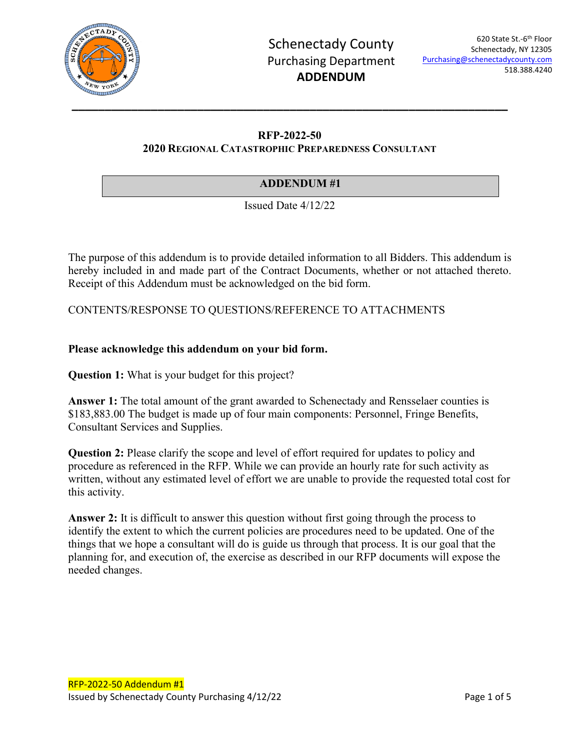

## **RFP-2022-50 2020 REGIONAL CATASTROPHIC PREPAREDNESS CONSULTANT**

## **ADDENDUM #1**

Issued Date 4/12/22

The purpose of this addendum is to provide detailed information to all Bidders. This addendum is hereby included in and made part of the Contract Documents, whether or not attached thereto. Receipt of this Addendum must be acknowledged on the bid form.

CONTENTS/RESPONSE TO QUESTIONS/REFERENCE TO ATTACHMENTS

## **Please acknowledge this addendum on your bid form.**

**Question 1:** What is your budget for this project?

Answer 1: The total amount of the grant awarded to Schenectady and Rensselaer counties is \$183,883.00 The budget is made up of four main components: Personnel, Fringe Benefits, Consultant Services and Supplies.

**Question 2:** Please clarify the scope and level of effort required for updates to policy and procedure as referenced in the RFP. While we can provide an hourly rate for such activity as written, without any estimated level of effort we are unable to provide the requested total cost for this activity.

**Answer 2:** It is difficult to answer this question without first going through the process to identify the extent to which the current policies are procedures need to be updated. One of the things that we hope a consultant will do is guide us through that process. It is our goal that the planning for, and execution of, the exercise as described in our RFP documents will expose the needed changes.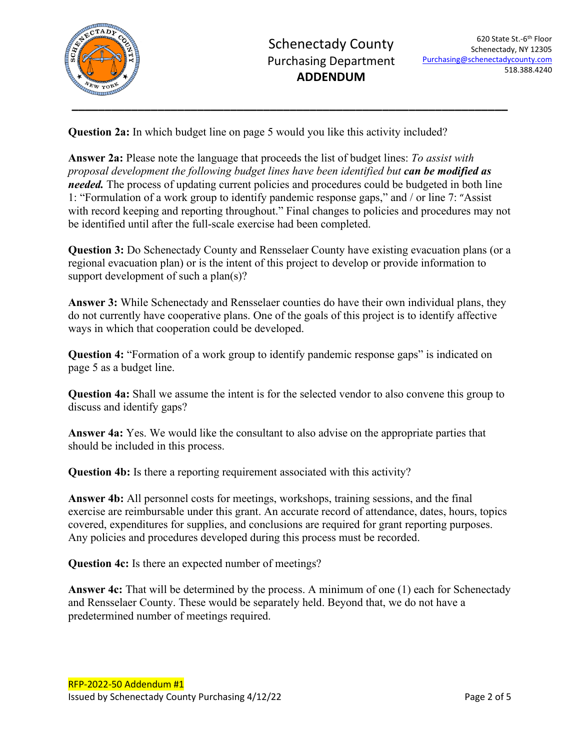

**Question 2a:** In which budget line on page 5 would you like this activity included?

**Answer 2a:** Please note the language that proceeds the list of budget lines: *To assist with proposal development the following budget lines have been identified but can be modified as needed*. The process of updating current policies and procedures could be budgeted in both line 1: "Formulation of a work group to identify pandemic response gaps," and / or line 7: "Assist with record keeping and reporting throughout." Final changes to policies and procedures may not be identified until after the full-scale exercise had been completed.

**Question 3:** Do Schenectady County and Rensselaer County have existing evacuation plans (or a regional evacuation plan) or is the intent of this project to develop or provide information to support development of such a plan(s)?

**Answer 3:** While Schenectady and Rensselaer counties do have their own individual plans, they do not currently have cooperative plans. One of the goals of this project is to identify affective ways in which that cooperation could be developed.

**Question 4:** "Formation of a work group to identify pandemic response gaps" is indicated on page 5 as a budget line.

**Question 4a:** Shall we assume the intent is for the selected vendor to also convene this group to discuss and identify gaps?

**Answer 4a:** Yes. We would like the consultant to also advise on the appropriate parties that should be included in this process.

**Question 4b:** Is there a reporting requirement associated with this activity?

**Answer 4b:** All personnel costs for meetings, workshops, training sessions, and the final exercise are reimbursable under this grant. An accurate record of attendance, dates, hours, topics covered, expenditures for supplies, and conclusions are required for grant reporting purposes. Any policies and procedures developed during this process must be recorded.

**Question 4c:** Is there an expected number of meetings?

**Answer 4c:** That will be determined by the process. A minimum of one (1) each for Schenectady and Rensselaer County. These would be separately held. Beyond that, we do not have a predetermined number of meetings required.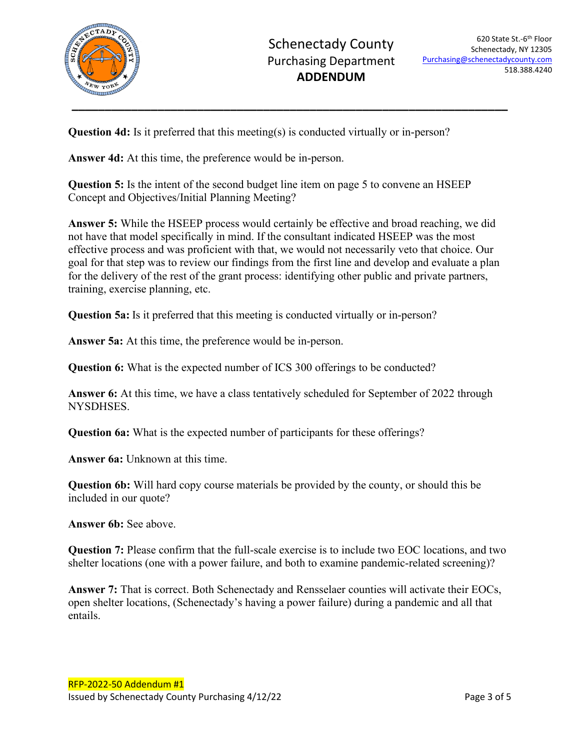

**Question 4d:** Is it preferred that this meeting(s) is conducted virtually or in-person?

**Answer 4d:** At this time, the preference would be in-person.

**Question 5:** Is the intent of the second budget line item on page 5 to convene an HSEEP Concept and Objectives/Initial Planning Meeting?

**Answer 5:** While the HSEEP process would certainly be effective and broad reaching, we did not have that model specifically in mind. If the consultant indicated HSEEP was the most effective process and was proficient with that, we would not necessarily veto that choice. Our goal for that step was to review our findings from the first line and develop and evaluate a plan for the delivery of the rest of the grant process: identifying other public and private partners, training, exercise planning, etc.

**Question 5a:** Is it preferred that this meeting is conducted virtually or in-person?

**Answer 5a:** At this time, the preference would be in-person.

**Question 6:** What is the expected number of ICS 300 offerings to be conducted?

**Answer 6:** At this time, we have a class tentatively scheduled for September of 2022 through NYSDHSES.

**Question 6a:** What is the expected number of participants for these offerings?

**Answer 6a:** Unknown at this time.

**Question 6b:** Will hard copy course materials be provided by the county, or should this be included in our quote?

**Answer 6b:** See above.

**Question 7:** Please confirm that the full-scale exercise is to include two EOC locations, and two shelter locations (one with a power failure, and both to examine pandemic-related screening)?

**Answer 7:** That is correct. Both Schenectady and Rensselaer counties will activate their EOCs, open shelter locations, (Schenectady's having a power failure) during a pandemic and all that entails.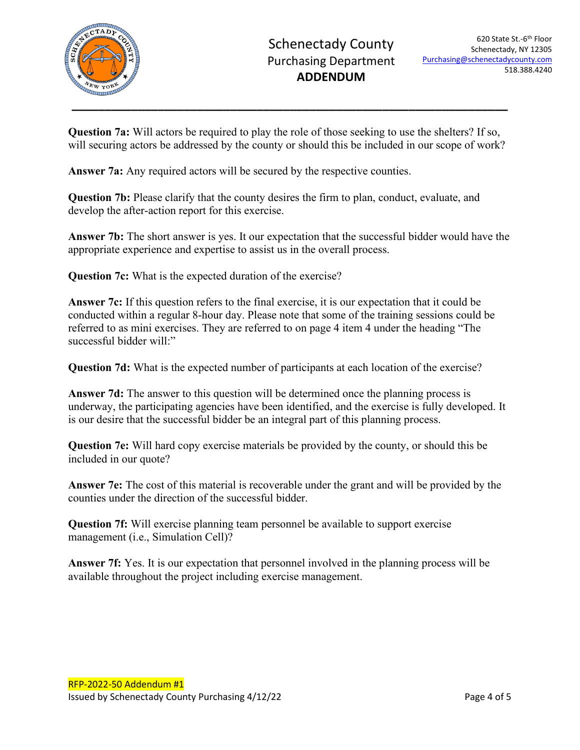

**Question 7a:** Will actors be required to play the role of those seeking to use the shelters? If so, will securing actors be addressed by the county or should this be included in our scope of work?

**Answer 7a:** Any required actors will be secured by the respective counties.

**Question 7b:** Please clarify that the county desires the firm to plan, conduct, evaluate, and develop the after-action report for this exercise.

**Answer 7b:** The short answer is yes. It our expectation that the successful bidder would have the appropriate experience and expertise to assist us in the overall process.

**Question 7c:** What is the expected duration of the exercise?

**Answer 7c:** If this question refers to the final exercise, it is our expectation that it could be conducted within a regular 8-hour day. Please note that some of the training sessions could be referred to as mini exercises. They are referred to on page 4 item 4 under the heading "The successful bidder will:"

**Question 7d:** What is the expected number of participants at each location of the exercise?

**Answer 7d:** The answer to this question will be determined once the planning process is underway, the participating agencies have been identified, and the exercise is fully developed. It is our desire that the successful bidder be an integral part of this planning process.

**Question 7e:** Will hard copy exercise materials be provided by the county, or should this be included in our quote?

**Answer 7e:** The cost of this material is recoverable under the grant and will be provided by the counties under the direction of the successful bidder.

**Question 7f:** Will exercise planning team personnel be available to support exercise management (i.e., Simulation Cell)?

**Answer 7f:** Yes. It is our expectation that personnel involved in the planning process will be available throughout the project including exercise management.